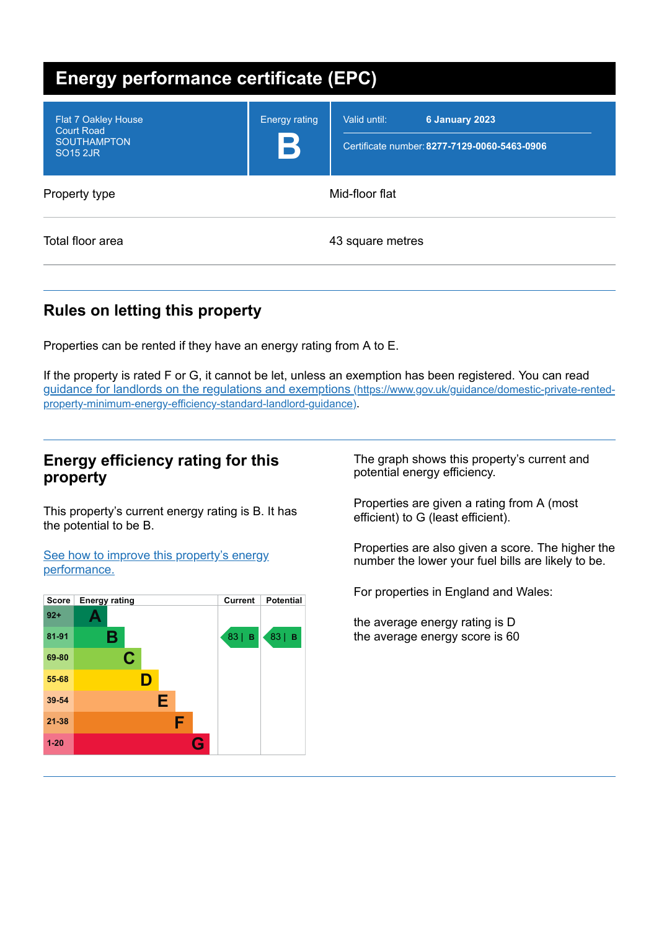| <b>Energy performance certificate (EPC)</b>                                                  |                                     |                                                                                |  |  |
|----------------------------------------------------------------------------------------------|-------------------------------------|--------------------------------------------------------------------------------|--|--|
| Flat 7 Oakley House<br><b>Court Road</b><br><b>SOUTHAMPTON</b><br><b>SO<sub>15</sub></b> 2JR | <b>Energy rating</b><br>$\mathbf B$ | Valid until:<br>6 January 2023<br>Certificate number: 8277-7129-0060-5463-0906 |  |  |
| Property type                                                                                | Mid-floor flat                      |                                                                                |  |  |
| Total floor area                                                                             |                                     | 43 square metres                                                               |  |  |

# **Rules on letting this property**

Properties can be rented if they have an energy rating from A to E.

If the property is rated F or G, it cannot be let, unless an exemption has been registered. You can read guidance for landlords on the regulations and exemptions (https://www.gov.uk/guidance/domestic-private-rented[property-minimum-energy-efficiency-standard-landlord-guidance\)](https://www.gov.uk/guidance/domestic-private-rented-property-minimum-energy-efficiency-standard-landlord-guidance).

## **Energy efficiency rating for this property**

This property's current energy rating is B. It has the potential to be B.

See how to improve this property's energy [performance.](#page-2-0)



The graph shows this property's current and potential energy efficiency.

Properties are given a rating from A (most efficient) to G (least efficient).

Properties are also given a score. The higher the number the lower your fuel bills are likely to be.

For properties in England and Wales:

the average energy rating is D the average energy score is 60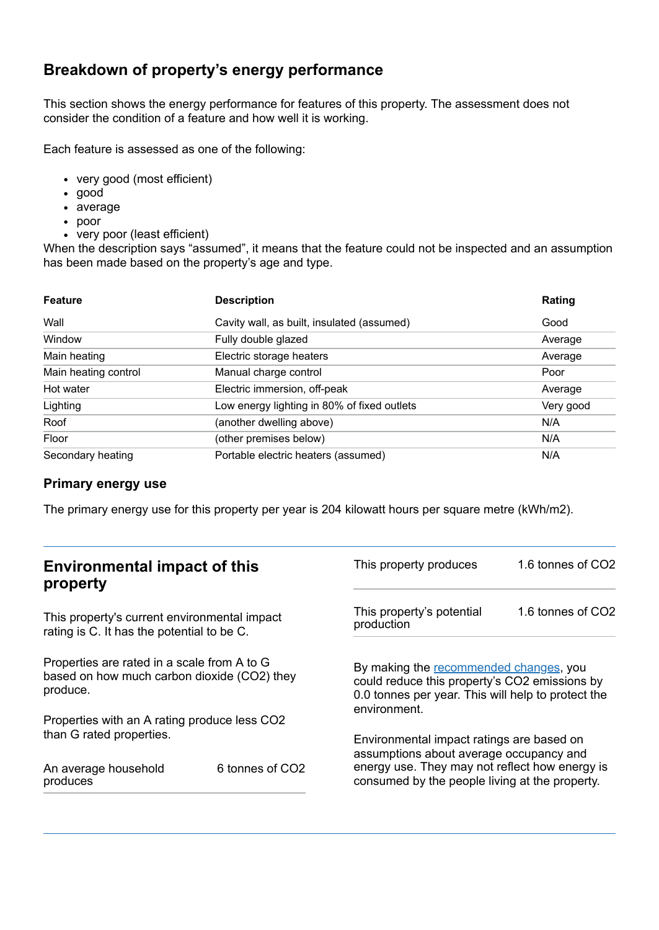# **Breakdown of property's energy performance**

This section shows the energy performance for features of this property. The assessment does not consider the condition of a feature and how well it is working.

Each feature is assessed as one of the following:

- very good (most efficient)
- good
- average
- poor
- very poor (least efficient)

When the description says "assumed", it means that the feature could not be inspected and an assumption has been made based on the property's age and type.

| <b>Feature</b>       | <b>Description</b>                          | Rating    |
|----------------------|---------------------------------------------|-----------|
| Wall                 | Cavity wall, as built, insulated (assumed)  | Good      |
| Window               | Fully double glazed                         | Average   |
| Main heating         | Electric storage heaters                    | Average   |
| Main heating control | Manual charge control                       | Poor      |
| Hot water            | Electric immersion, off-peak                | Average   |
| Lighting             | Low energy lighting in 80% of fixed outlets | Very good |
| Roof                 | (another dwelling above)                    | N/A       |
| Floor                | (other premises below)                      | N/A       |
| Secondary heating    | Portable electric heaters (assumed)         | N/A       |

#### **Primary energy use**

The primary energy use for this property per year is 204 kilowatt hours per square metre (kWh/m2).

| <b>Environmental impact of this</b><br>property                                                        |                             | This property produces                                                                                                                                                                   | 1.6 tonnes of CO2 |
|--------------------------------------------------------------------------------------------------------|-----------------------------|------------------------------------------------------------------------------------------------------------------------------------------------------------------------------------------|-------------------|
| This property's current environmental impact<br>rating is C. It has the potential to be C.             |                             | This property's potential<br>production                                                                                                                                                  | 1.6 tonnes of CO2 |
| Properties are rated in a scale from A to G<br>based on how much carbon dioxide (CO2) they<br>produce. |                             | By making the recommended changes, you<br>could reduce this property's CO2 emissions by<br>0.0 tonnes per year. This will help to protect the<br>environment.                            |                   |
| Properties with an A rating produce less CO2                                                           |                             |                                                                                                                                                                                          |                   |
| than G rated properties.<br>An average household<br>produces                                           | 6 tonnes of CO <sub>2</sub> | Environmental impact ratings are based on<br>assumptions about average occupancy and<br>energy use. They may not reflect how energy is<br>consumed by the people living at the property. |                   |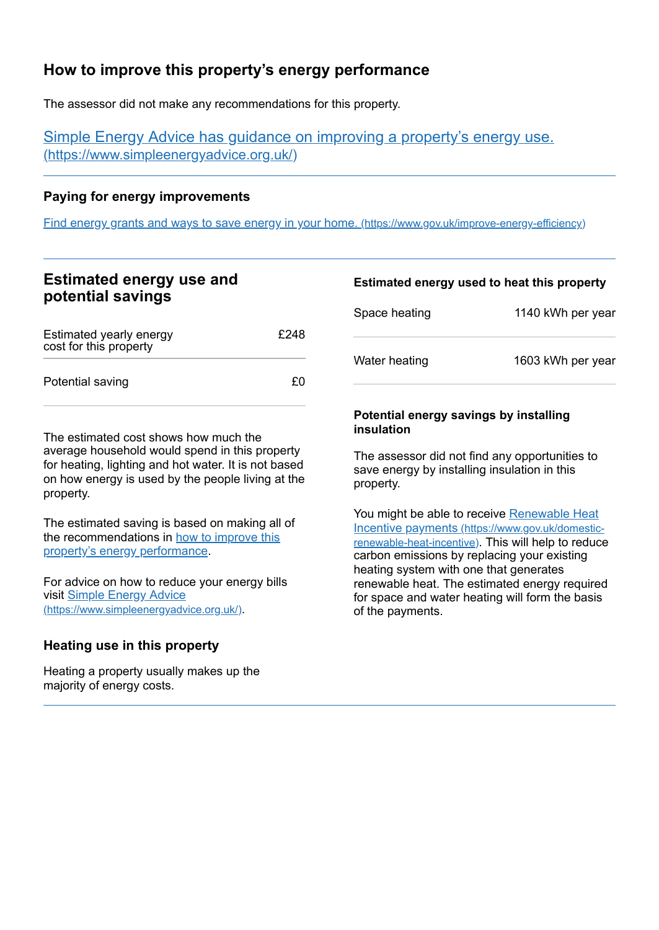# <span id="page-2-0"></span>**How to improve this property's energy performance**

The assessor did not make any recommendations for this property.

Simple Energy Advice has guidance on improving a property's energy use. [\(https://www.simpleenergyadvice.org.uk/\)](https://www.simpleenergyadvice.org.uk/)

### **Paying for energy improvements**

Find energy grants and ways to save energy in your home. [\(https://www.gov.uk/improve-energy-efficiency\)](https://www.gov.uk/improve-energy-efficiency)

## **Estimated energy use and potential savings**

| Estimated yearly energy<br>cost for this property | £248 |
|---------------------------------------------------|------|
| Potential saving                                  | £Ω   |

The estimated cost shows how much the average household would spend in this property for heating, lighting and hot water. It is not based on how energy is used by the people living at the property.

The estimated saving is based on making all of the [recommendations](#page-2-0) in how to improve this property's energy performance.

For advice on how to reduce your energy bills visit Simple Energy Advice [\(https://www.simpleenergyadvice.org.uk/\)](https://www.simpleenergyadvice.org.uk/).

### **Heating use in this property**

Heating a property usually makes up the majority of energy costs.

#### **Estimated energy used to heat this property**

| Space heating | 1140 kWh per year |
|---------------|-------------------|
| Water heating | 1603 kWh per year |

#### **Potential energy savings by installing insulation**

The assessor did not find any opportunities to save energy by installing insulation in this property.

You might be able to receive Renewable Heat Incentive payments [\(https://www.gov.uk/domestic](https://www.gov.uk/domestic-renewable-heat-incentive)renewable-heat-incentive). This will help to reduce carbon emissions by replacing your existing heating system with one that generates renewable heat. The estimated energy required for space and water heating will form the basis of the payments.